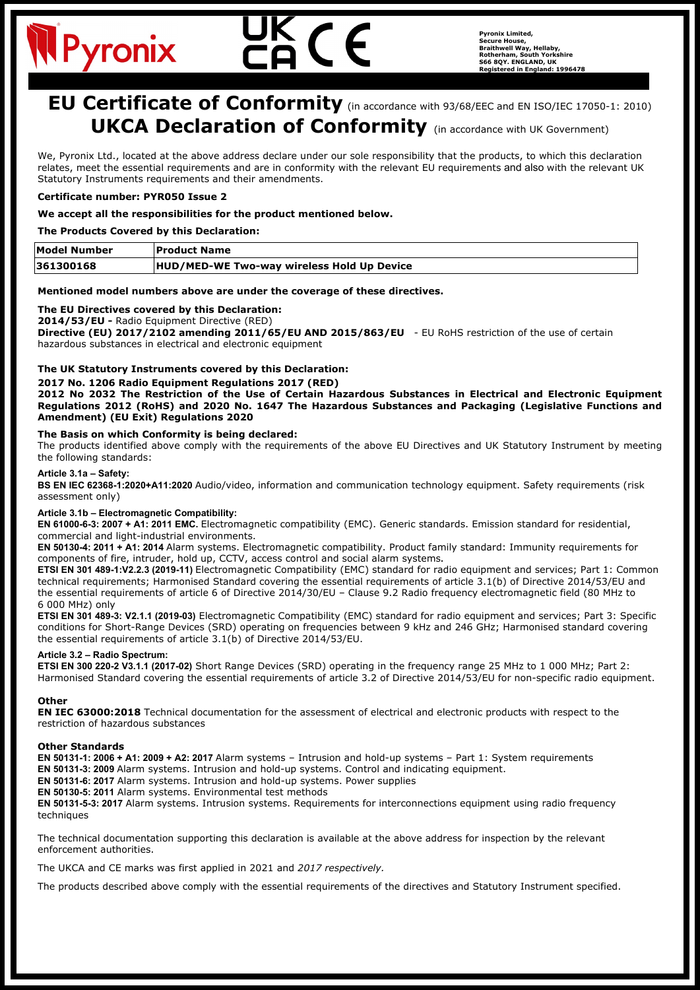# Pyronix

**Pyronix Limited, Secure House, Braithwell Way, Hellaby, Rotherham, South Yorkshire S66 8QY. ENGLAND, UK Registered in England: 1996478**

# **EU Certificate of Conformity** (in accordance with 93/68/EEC and EN ISO/IEC 17050-1: 2010) **UKCA Declaration of Conformity** (in accordance with UK Government)

We, Pyronix Ltd., located at the above address declare under our sole responsibility that the products, to which this declaration relates, meet the essential requirements and are in conformity with the relevant EU requirements and also with the relevant UK Statutory Instruments requirements and their amendments.

# **Certificate number: PYR050 Issue 2**

# **We accept all the responsibilities for the product mentioned below.**

# **The Products Covered by this Declaration:**

| Model Number | <b>Product Name</b>                        |
|--------------|--------------------------------------------|
| 361300168    | HUD/MED-WE Two-way wireless Hold Up Device |

#### **Mentioned model numbers above are under the coverage of these directives.**

# **The EU Directives covered by this Declaration:**

# **2014/53/EU -** Radio Equipment Directive (RED)

**Directive (EU) 2017/2102 amending 2011/65/EU AND 2015/863/EU** - EU RoHS restriction of the use of certain hazardous substances in electrical and electronic equipment

# **The UK Statutory Instruments covered by this Declaration:**

#### **2017 No. 1206 Radio Equipment Regulations 2017 (RED)**

**2012 No 2032 The Restriction of the Use of Certain Hazardous Substances in Electrical and Electronic Equipment Regulations 2012 (RoHS) and 2020 No. 1647 The Hazardous Substances and Packaging (Legislative Functions and Amendment) (EU Exit) Regulations 2020**

#### **The Basis on which Conformity is being declared:**

The products identified above comply with the requirements of the above EU Directives and UK Statutory Instrument by meeting the following standards:

# **Article 3.1a – Safety:**

**BS EN IEC 62368-1:2020+A11:2020** Audio/video, information and communication technology equipment. Safety requirements (risk assessment only)

#### **Article 3.1b – Electromagnetic Compatibility:**

**EN 61000-6-3: 2007 + A1: 2011 EMC.** Electromagnetic compatibility (EMC). Generic standards. Emission standard for residential, commercial and light-industrial environments.

**EN 50130-4: 2011 + A1: 2014** Alarm systems. Electromagnetic compatibility. Product family standard: Immunity requirements for components of fire, intruder, hold up, CCTV, access control and social alarm systems**.**

**ETSI EN 301 489-1:V2.2.3 (2019-11)** Electromagnetic Compatibility (EMC) standard for radio equipment and services; Part 1: Common technical requirements; Harmonised Standard covering the essential requirements of article 3.1(b) of Directive 2014/53/EU and the essential requirements of article 6 of Directive 2014/30/EU – Clause 9.2 Radio frequency electromagnetic field (80 MHz to 6 000 MHz) only

**ETSI EN 301 489-3: V2.1.1 (2019-03)** Electromagnetic Compatibility (EMC) standard for radio equipment and services; Part 3: Specific conditions for Short-Range Devices (SRD) operating on frequencies between 9 kHz and 246 GHz; Harmonised standard covering the essential requirements of article 3.1(b) of Directive 2014/53/EU.

#### **Article 3.2 – Radio Spectrum:**

**ETSI EN 300 220-2 V3.1.1 (2017-02)** Short Range Devices (SRD) operating in the frequency range 25 MHz to 1 000 MHz; Part 2: Harmonised Standard covering the essential requirements of article 3.2 of Directive 2014/53/EU for non-specific radio equipment.

#### **Other**

**EN IEC 63000:2018** Technical documentation for the assessment of electrical and electronic products with respect to the restriction of hazardous substances

#### **Other Standards**

**EN 50131-1: 2006 + A1: 2009 + A2: 2017** Alarm systems – Intrusion and hold-up systems – Part 1: System requirements **EN 50131-3: 2009** Alarm systems. Intrusion and hold-up systems. Control and indicating equipment.

**EN 50131-6: 2017** Alarm systems. Intrusion and hold-up systems. Power supplies

**EN 50130-5: 2011** Alarm systems. Environmental test methods

**EN 50131-5-3: 2017** Alarm systems. Intrusion systems. Requirements for interconnections equipment using radio frequency techniques

The technical documentation supporting this declaration is available at the above address for inspection by the relevant enforcement authorities.

The UKCA and CE marks was first applied in 2021 and *2017 respectively.*

The products described above comply with the essential requirements of the directives and Statutory Instrument specified.